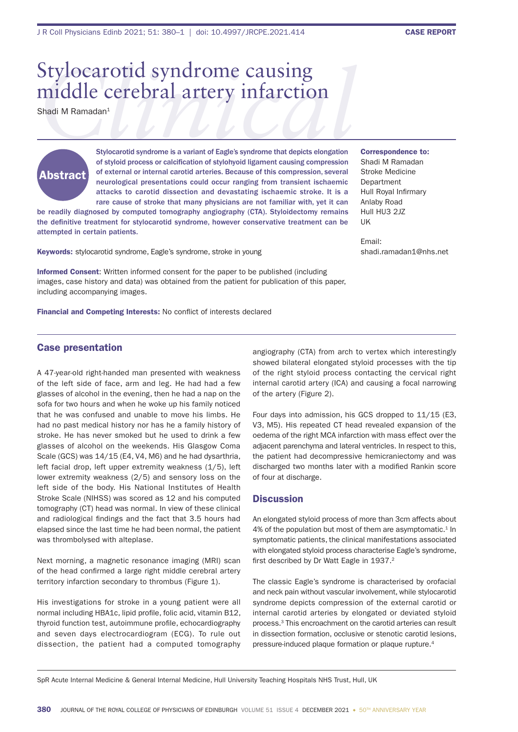# Stylocarotid syndrome causing<br>
middle cerebral artery infarction<br>
Shadi M Ramadan<sup>1</sup><br>
Stylocarotid syndrome is a variant of Eagle's syndrome that depicts elongation middle cerebral artery infarction

Shadi M Ramadan<sup>1</sup>



Stylocarotid syndrome is a variant of Eagle's syndrome that depicts elongation of styloid process or calcification of stylohyoid ligament causing compression of external or internal carotid arteries. Because of this compression, several neurological presentations could occur ranging from transient ischaemic attacks to carotid dissection and devastating ischaemic stroke. It is a rare cause of stroke that many physicians are not familiar with, yet it can

be readily diagnosed by computed tomography angiography (CTA). Styloidectomy remains the definitive treatment for stylocarotid syndrome, however conservative treatment can be attempted in certain patients.

Keywords: stylocarotid syndrome, Eagle's syndrome, stroke in young

Informed Consent: Written informed consent for the paper to be published (including images, case history and data) was obtained from the patient for publication of this paper, including accompanying images.

Financial and Competing Interests: No conflict of interests declared

Correspondence to: Shadi M Ramadan Stroke Medicine Department Hull Royal Infirmary Anlaby Road Hull HU3 2JZ UK

Email: shadi.ramadan1@nhs.net

# Case presentation

A 47-year-old right-handed man presented with weakness of the left side of face, arm and leg. He had had a few glasses of alcohol in the evening, then he had a nap on the sofa for two hours and when he woke up his family noticed that he was confused and unable to move his limbs. He had no past medical history nor has he a family history of stroke. He has never smoked but he used to drink a few glasses of alcohol on the weekends. His Glasgow Coma Scale (GCS) was 14/15 (E4, V4, M6) and he had dysarthria, left facial drop, left upper extremity weakness (1/5), left lower extremity weakness (2/5) and sensory loss on the left side of the body. His National Institutes of Health Stroke Scale (NIHSS) was scored as 12 and his computed tomography (CT) head was normal. In view of these clinical and radiological findings and the fact that 3.5 hours had elapsed since the last time he had been normal, the patient was thrombolysed with alteplase.

Next morning, a magnetic resonance imaging (MRI) scan of the head confirmed a large right middle cerebral artery territory infarction secondary to thrombus (Figure 1).

His investigations for stroke in a young patient were all normal including HBA1c, lipid profile, folic acid, vitamin B12, thyroid function test, autoimmune profile, echocardiography and seven days electrocardiogram (ECG). To rule out dissection, the patient had a computed tomography

angiography (CTA) from arch to vertex which interestingly showed bilateral elongated styloid processes with the tip of the right styloid process contacting the cervical right internal carotid artery (ICA) and causing a focal narrowing of the artery (Figure 2).

Four days into admission, his GCS dropped to 11/15 (E3, V3, M5). His repeated CT head revealed expansion of the oedema of the right MCA infarction with mass effect over the adjacent parenchyma and lateral ventricles. In respect to this, the patient had decompressive hemicraniectomy and was discharged two months later with a modified Rankin score of four at discharge.

### **Discussion**

An elongated styloid process of more than 3cm affects about 4% of the population but most of them are asymptomatic.<sup>1</sup> In symptomatic patients, the clinical manifestations associated with elongated styloid process characterise Eagle's syndrome, first described by Dr Watt Eagle in 1937.<sup>2</sup>

The classic Eagle's syndrome is characterised by orofacial and neck pain without vascular involvement, while stylocarotid syndrome depicts compression of the external carotid or internal carotid arteries by elongated or deviated styloid process.3 This encroachment on the carotid arteries can result in dissection formation, occlusive or stenotic carotid lesions, pressure-induced plaque formation or plaque rupture.4

SpR Acute Internal Medicine & General Internal Medicine, Hull University Teaching Hospitals NHS Trust, Hull, UK